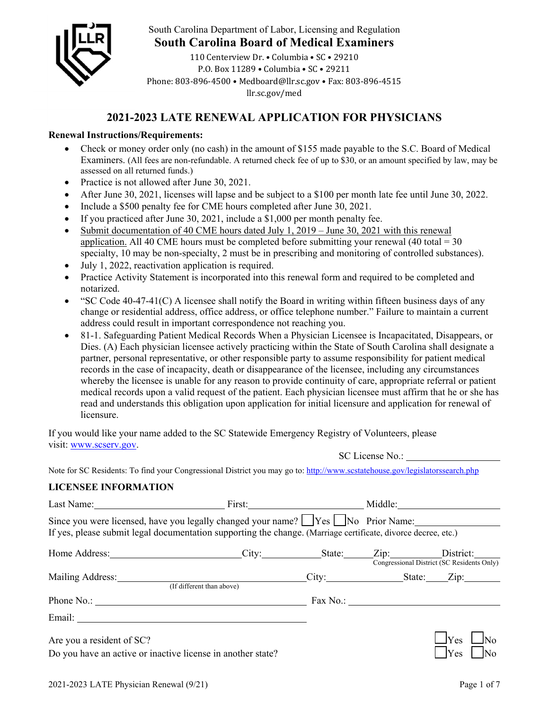

South Carolina Department of Labor, Licensing and Regulation

**South Carolina Board of Medical Examiners** 

110 Centerview Dr. • Columbia • SC • 29210 P.O. Box 11289 • Columbia • SC • 29211 Phone: 803-896-4500 • Medboard@llr.sc.gov • Fax: 803-896-4515 llr.sc.gov/med

# **2021-2023 LATE RENEWAL APPLICATION FOR PHYSICIANS**

### **Renewal Instructions/Requirements:**

- Check or money order only (no cash) in the amount of \$155 made payable to the S.C. Board of Medical Examiners. (All fees are non-refundable. A returned check fee of up to \$30, or an amount specified by law, may be assessed on all returned funds.)
- Practice is not allowed after June 30, 2021.
- After June 30, 2021, licenses will lapse and be subject to a \$100 per month late fee until June 30, 2022.
- Include a \$500 penalty fee for CME hours completed after June 30, 2021.
- If you practiced after June 30, 2021, include a  $$1,000$  per month penalty fee.
- Submit documentation of 40 CME hours dated July 1,  $2019 -$  June 30, 2021 with this renewal application. All 40 CME hours must be completed before submitting your renewal (40 total =  $30$ ) specialty, 10 may be non-specialty, 2 must be in prescribing and monitoring of controlled substances).
- July 1, 2022, reactivation application is required.
- Practice Activity Statement is incorporated into this renewal form and required to be completed and notarized.
- "SC Code 40-47-41(C) A licensee shall notify the Board in writing within fifteen business days of any change or residential address, office address, or office telephone number." Failure to maintain a current address could result in important correspondence not reaching you.
- 81-1. Safeguarding Patient Medical Records When a Physician Licensee is Incapacitated, Disappears, or Dies. (A) Each physician licensee actively practicing within the State of South Carolina shall designate a partner, personal representative, or other responsible party to assume responsibility for patient medical records in the case of incapacity, death or disappearance of the licensee, including any circumstances whereby the licensee is unable for any reason to provide continuity of care, appropriate referral or patient medical records upon a valid request of the patient. Each physician licensee must affirm that he or she has read and understands this obligation upon application for initial licensure and application for renewal of licensure.

If you would like your name added to the SC Statewide Emergency Registry of Volunteers, please visit: www.scserv.gov.

SC License No.:

Note for SC Residents: To find your Congressional District you may go to: http://www.scstatehouse.gov/legislatorssearch.php

## **LICENSEE INFORMATION**

| Since you were licensed, have you legally changed your name? $\Box$ Yes $\Box$ No Prior Name:<br>If yes, please submit legal documentation supporting the change. (Marriage certificate, divorce decree, etc.) |                           |  |  |                                                                     |  |
|----------------------------------------------------------------------------------------------------------------------------------------------------------------------------------------------------------------|---------------------------|--|--|---------------------------------------------------------------------|--|
| Home Address: _________________________City: ___________State: ______Zip: ________District: _______                                                                                                            |                           |  |  | Congressional District (SC Residents Only)                          |  |
|                                                                                                                                                                                                                | (If different than above) |  |  |                                                                     |  |
|                                                                                                                                                                                                                |                           |  |  |                                                                     |  |
|                                                                                                                                                                                                                |                           |  |  |                                                                     |  |
| Are you a resident of SC?<br>Do you have an active or inactive license in another state?                                                                                                                       |                           |  |  | $\mathsf{I}$ $\mathsf{I}$ $\mathsf{Y}$ $\mathsf{es}$<br><b>IYes</b> |  |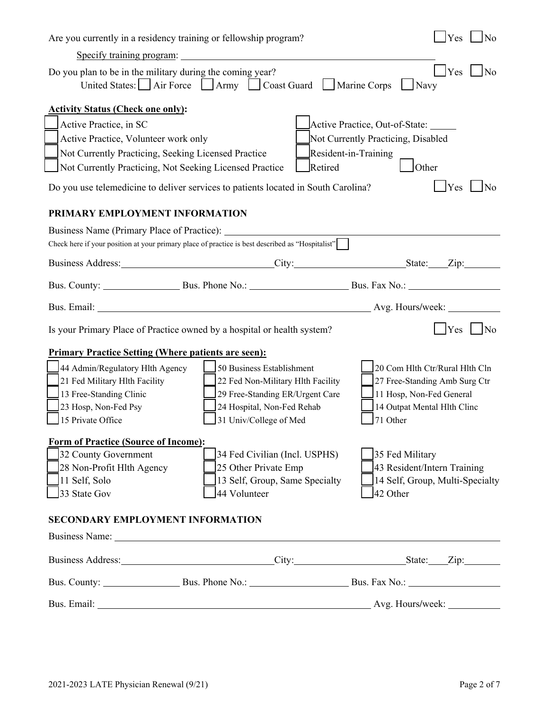| Yes<br>$\log$<br>Are you currently in a residency training or fellowship program?                                                                                                                                              |                                                                                                                       |                                    |  |  |  |  |
|--------------------------------------------------------------------------------------------------------------------------------------------------------------------------------------------------------------------------------|-----------------------------------------------------------------------------------------------------------------------|------------------------------------|--|--|--|--|
| Specify training program:                                                                                                                                                                                                      |                                                                                                                       |                                    |  |  |  |  |
| $\frac{1}{2}$ Yes $\frac{1}{2}$ No<br>Do you plan to be in the military during the coming year?<br>United States: Air Force   Army   Coast Guard   Marine Corps<br>Navy                                                        |                                                                                                                       |                                    |  |  |  |  |
| <b>Activity Status (Check one only):</b>                                                                                                                                                                                       |                                                                                                                       |                                    |  |  |  |  |
| Active Practice, in SC                                                                                                                                                                                                         |                                                                                                                       | Active Practice, Out-of-State:     |  |  |  |  |
| Active Practice, Volunteer work only                                                                                                                                                                                           |                                                                                                                       | Not Currently Practicing, Disabled |  |  |  |  |
|                                                                                                                                                                                                                                | Resident-in-Training<br>Not Currently Practicing, Seeking Licensed Practice                                           |                                    |  |  |  |  |
| Not Currently Practicing, Not Seeking Licensed Practice                                                                                                                                                                        | Retired                                                                                                               | Other                              |  |  |  |  |
| Do you use telemedicine to deliver services to patients located in South Carolina?                                                                                                                                             |                                                                                                                       | <b>IYes</b><br>$\overline{N}_{0}$  |  |  |  |  |
| PRIMARY EMPLOYMENT INFORMATION                                                                                                                                                                                                 |                                                                                                                       |                                    |  |  |  |  |
| Business Name (Primary Place of Practice):                                                                                                                                                                                     |                                                                                                                       |                                    |  |  |  |  |
| Check here if your position at your primary place of practice is best described as "Hospitalist"                                                                                                                               |                                                                                                                       |                                    |  |  |  |  |
| Business Address: City: City: State: Zip:                                                                                                                                                                                      |                                                                                                                       |                                    |  |  |  |  |
| Bus. County: Bus. Phone No.: Bus. Phone No.: Bus. Fax No.: Bus. Fax No.: Bus. Fax No.: Bus. Fax No.: Bus. Fax No.: Bus. Fax No.: Bus. Fax No.: Bus. Fax No.: Bus. Fax No.: Bus. Fax No.: Bus. Fax No.: Bus. Fax No.: Bus. Fax  |                                                                                                                       |                                    |  |  |  |  |
|                                                                                                                                                                                                                                |                                                                                                                       |                                    |  |  |  |  |
| Is your Primary Place of Practice owned by a hospital or health system?                                                                                                                                                        |                                                                                                                       | $Yes$   No                         |  |  |  |  |
| <b>Primary Practice Setting (Where patients are seen):</b>                                                                                                                                                                     |                                                                                                                       |                                    |  |  |  |  |
| 44 Admin/Regulatory Hlth Agency                                                                                                                                                                                                | 50 Business Establishment                                                                                             | 20 Com Hlth Ctr/Rural Hlth Cln     |  |  |  |  |
| 21 Fed Military Hlth Facility                                                                                                                                                                                                  | 22 Fed Non-Military Hlth Facility                                                                                     | 27 Free-Standing Amb Surg Ctr      |  |  |  |  |
| 13 Free-Standing Clinic<br>29 Free-Standing ER/Urgent Care<br>11 Hosp, Non-Fed General                                                                                                                                         |                                                                                                                       |                                    |  |  |  |  |
| 23 Hosp, Non-Fed Psy                                                                                                                                                                                                           | 24 Hospital, Non-Fed Rehab<br>14 Outpat Mental Hlth Clinc                                                             |                                    |  |  |  |  |
|                                                                                                                                                                                                                                | 15 Private Office<br>71 Other<br>31 Univ/College of Med                                                               |                                    |  |  |  |  |
| <b>Form of Practice (Source of Income):</b>                                                                                                                                                                                    |                                                                                                                       |                                    |  |  |  |  |
| 32 County Government                                                                                                                                                                                                           | 34 Fed Civilian (Incl. USPHS)                                                                                         | 35 Fed Military                    |  |  |  |  |
| 28 Non-Profit Hlth Agency                                                                                                                                                                                                      | 25 Other Private Emp                                                                                                  | 43 Resident/Intern Training        |  |  |  |  |
| 11 Self, Solo                                                                                                                                                                                                                  | 13 Self, Group, Same Specialty                                                                                        | 14 Self, Group, Multi-Specialty    |  |  |  |  |
| 33 State Gov                                                                                                                                                                                                                   | 44 Volunteer                                                                                                          | 42 Other                           |  |  |  |  |
| <b>SECONDARY EMPLOYMENT INFORMATION</b>                                                                                                                                                                                        |                                                                                                                       |                                    |  |  |  |  |
| Business Name: 1988. [19] Dusiness Name: 1988. [19] Dusiness Name: 1988. [19] Dusiness Name: 1988. [19] Dusiness Name: 1988. [19] Dusiness Name: 1988. [19] Dusiness Name: 1988. [19] Dusiness Name: 1988. [19] Dusiness Name: |                                                                                                                       |                                    |  |  |  |  |
| Business Address: City: City: State: Zip: City:                                                                                                                                                                                |                                                                                                                       |                                    |  |  |  |  |
|                                                                                                                                                                                                                                |                                                                                                                       |                                    |  |  |  |  |
| Bus. Email:                                                                                                                                                                                                                    | <u> 1989 - Johann Stoff, deutscher Stoff, der Stoff, der Stoff, der Stoff, der Stoff, der Stoff, der Stoff, der S</u> |                                    |  |  |  |  |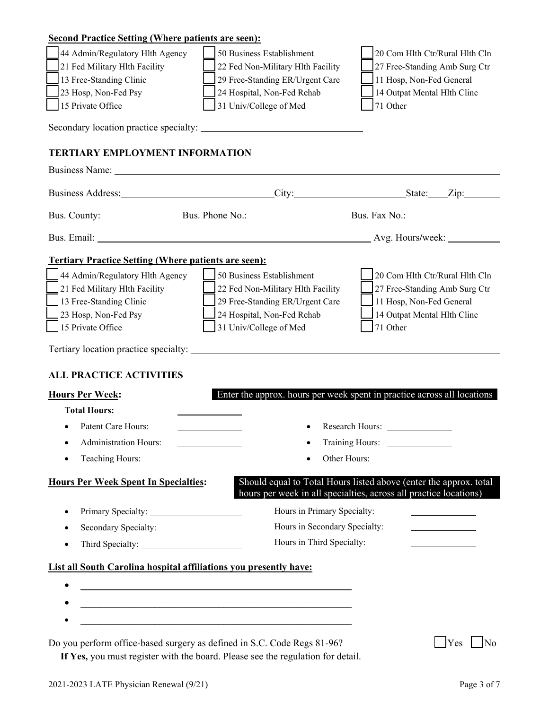| <b>Second Practice Setting (Where patients are seen):</b>                |                                                                                                                  |                                                                                                                                        |  |  |  |
|--------------------------------------------------------------------------|------------------------------------------------------------------------------------------------------------------|----------------------------------------------------------------------------------------------------------------------------------------|--|--|--|
| 44 Admin/Regulatory Hlth Agency                                          | 50 Business Establishment                                                                                        | 20 Com Hlth Ctr/Rural Hlth Cln                                                                                                         |  |  |  |
| 21 Fed Military Hlth Facility                                            | 22 Fed Non-Military Hlth Facility                                                                                | 27 Free-Standing Amb Surg Ctr                                                                                                          |  |  |  |
| 13 Free-Standing Clinic                                                  | 29 Free-Standing ER/Urgent Care                                                                                  | 11 Hosp, Non-Fed General                                                                                                               |  |  |  |
| 23 Hosp, Non-Fed Psy                                                     | 24 Hospital, Non-Fed Rehab                                                                                       | 14 Outpat Mental Hlth Clinc                                                                                                            |  |  |  |
| 15 Private Office                                                        | 31 Univ/College of Med                                                                                           | 71 Other                                                                                                                               |  |  |  |
| Secondary location practice specialty:                                   |                                                                                                                  |                                                                                                                                        |  |  |  |
| <b>TERTIARY EMPLOYMENT INFORMATION</b>                                   |                                                                                                                  |                                                                                                                                        |  |  |  |
| Business Name: Name:                                                     |                                                                                                                  |                                                                                                                                        |  |  |  |
|                                                                          | Business Address: City: City: State: Zip: Zip:                                                                   |                                                                                                                                        |  |  |  |
|                                                                          |                                                                                                                  |                                                                                                                                        |  |  |  |
|                                                                          |                                                                                                                  |                                                                                                                                        |  |  |  |
| <b>Tertiary Practice Setting (Where patients are seen):</b>              |                                                                                                                  |                                                                                                                                        |  |  |  |
| 44 Admin/Regulatory Hlth Agency                                          | 50 Business Establishment                                                                                        | 20 Com Hlth Ctr/Rural Hlth Cln                                                                                                         |  |  |  |
| 21 Fed Military Hlth Facility                                            | 22 Fed Non-Military Hlth Facility                                                                                | 27 Free-Standing Amb Surg Ctr                                                                                                          |  |  |  |
| 13 Free-Standing Clinic                                                  | 29 Free-Standing ER/Urgent Care                                                                                  | 11 Hosp, Non-Fed General                                                                                                               |  |  |  |
| 23 Hosp, Non-Fed Psy                                                     | 24 Hospital, Non-Fed Rehab                                                                                       | 14 Outpat Mental Hlth Clinc                                                                                                            |  |  |  |
| 15 Private Office                                                        | 31 Univ/College of Med                                                                                           | 71 Other                                                                                                                               |  |  |  |
| Tertiary location practice specialty:                                    |                                                                                                                  |                                                                                                                                        |  |  |  |
| <b>ALL PRACTICE ACTIVITIES</b>                                           |                                                                                                                  |                                                                                                                                        |  |  |  |
| <b>Hours Per Week:</b>                                                   |                                                                                                                  | Enter the approx. hours per week spent in practice across all locations                                                                |  |  |  |
| <b>Total Hours:</b>                                                      |                                                                                                                  |                                                                                                                                        |  |  |  |
| Patent Care Hours:                                                       |                                                                                                                  | Research Hours:                                                                                                                        |  |  |  |
| <b>Administration Hours:</b>                                             |                                                                                                                  |                                                                                                                                        |  |  |  |
| Teaching Hours:                                                          | <u> 1990 - Johann Barbara, martin a</u><br>Other Hours:                                                          |                                                                                                                                        |  |  |  |
|                                                                          |                                                                                                                  | the company of the company of the                                                                                                      |  |  |  |
| <b>Hours Per Week Spent In Specialties:</b>                              |                                                                                                                  | Should equal to Total Hours listed above (enter the approx. total<br>hours per week in all specialties, across all practice locations) |  |  |  |
| $\bullet$                                                                | Hours in Primary Specialty:                                                                                      |                                                                                                                                        |  |  |  |
| Secondary Specialty:<br>$\bullet$                                        | Hours in Secondary Specialty:                                                                                    | <u> 1990 - Johann Barn, mars an t-Amerikaansk kommunister (</u>                                                                        |  |  |  |
| $\bullet$                                                                | Hours in Third Specialty:                                                                                        |                                                                                                                                        |  |  |  |
| <b>List all South Carolina hospital affiliations you presently have:</b> |                                                                                                                  |                                                                                                                                        |  |  |  |
|                                                                          |                                                                                                                  |                                                                                                                                        |  |  |  |
|                                                                          | and the control of the control of the control of the control of the control of the control of the control of the |                                                                                                                                        |  |  |  |
|                                                                          |                                                                                                                  |                                                                                                                                        |  |  |  |
|                                                                          |                                                                                                                  |                                                                                                                                        |  |  |  |
| Do you perform office-based surgery as defined in S.C. Code Regs 81-96?  |                                                                                                                  | Yes<br>N <sub>o</sub>                                                                                                                  |  |  |  |

 **If Yes,** you must register with the board. Please see the regulation for detail.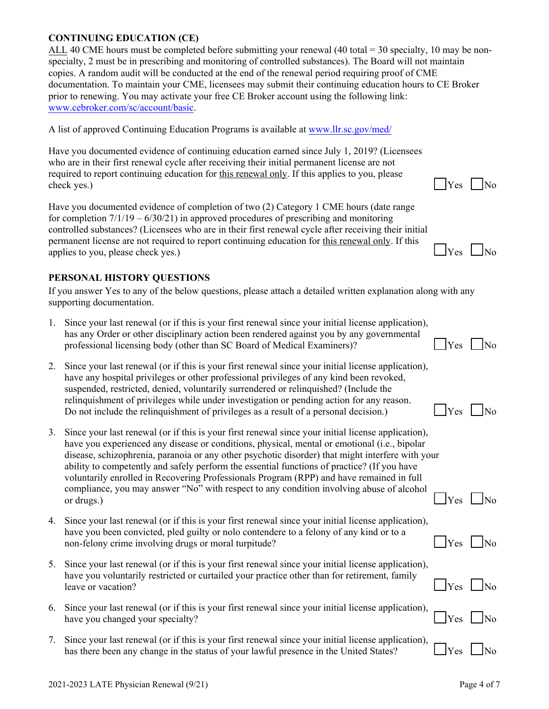#### **CONTINUING EDUCATION (CE)**

ALL 40 CME hours must be completed before submitting your renewal  $(40 \text{ total} = 30 \text{ specialist}, 10 \text{ may be non-}$ specialty, 2 must be in prescribing and monitoring of controlled substances). The Board will not maintain copies. A random audit will be conducted at the end of the renewal period requiring proof of CME documentation. To maintain your CME, licensees may submit their continuing education hours to CE Broker prior to renewing. You may activate your free CE Broker account using the following link: <www.cebroker.com/sc/account/basic>.

A list of approved Continuing Education Programs is available at www.llr.sc.gov/med/

Have you documented evidence of continuing education earned since July 1, 2019? (Licensees who are in their first renewal cycle after receiving their initial permanent license are not required to report continuing education for this renewal only. If this applies to you, please  $\epsilon$ heck yes.)

Have you documented evidence of completion of two (2) Category 1 CME hours (date range for completion  $7/1/19 - 6/30/21$  in approved procedures of prescribing and monitoring controlled substances? (Licensees who are in their first renewal cycle after receiving their initial permanent license are not required to report continuing education for this renewal only. If this applies to you, please check yes.)  $\Box$  Yes  $\Box$  No

## **PERSONAL HISTORY QUESTIONS**

If you answer Yes to any of the below questions, please attach a detailed written explanation along with any supporting documentation.

| 1. Since your last renewal (or if this is your first renewal since your initial license application), |                      |  |
|-------------------------------------------------------------------------------------------------------|----------------------|--|
| has any Order or other disciplinary action been rendered against you by any governmental              |                      |  |
| professional licensing body (other than SC Board of Medical Examiners)?                               | $\Box$ Yes $\Box$ No |  |

- 2. Since your last renewal (or if this is your first renewal since your initial license application), have any hospital privileges or other professional privileges of any kind been revoked, suspended, restricted, denied, voluntarily surrendered or relinquished? (Include the relinquishment of privileges while under investigation or pending action for any reason. Do not include the relinquishment of privileges as a result of a personal decision.)  $\Box$  Yes  $\Box$  No
- 3. Since your last renewal (or if this is your first renewal since your initial license application), have you experienced any disease or conditions, physical, mental or emotional (i.e., bipolar disease, schizophrenia, paranoia or any other psychotic disorder) that might interfere with your ability to competently and safely perform the essential functions of practice? (If you have voluntarily enrolled in Recovering Professionals Program (RPP) and have remained in full compliance, you may answer "No" with respect to any condition involving abuse of alcohol or drugs.)  $\Box$  Yes  $\Box$  No
- 4. Since your last renewal (or if this is your first renewal since your initial license application), have you been convicted, pled guilty or nolo contendere to a felony of any kind or to a non-felony crime involving drugs or moral turpitude?  $\Box$  Yes  $\Box$  No
- 5. Since your last renewal (or if this is your first renewal since your initial license application), have you voluntarily restricted or curtailed your practice other than for retirement, family leave or vacation?  $\Box$  Yes  $\Box$  No
- 6. Since your last renewal (or if this is your first renewal since your initial license application), have you changed your specialty?  $\Box$  Yes  $\Box$  No
- 7. Since your last renewal (or if this is your first renewal since your initial license application), has there been any change in the status of your lawful presence in the United States?  $\Box$  Yes  $\Box$  No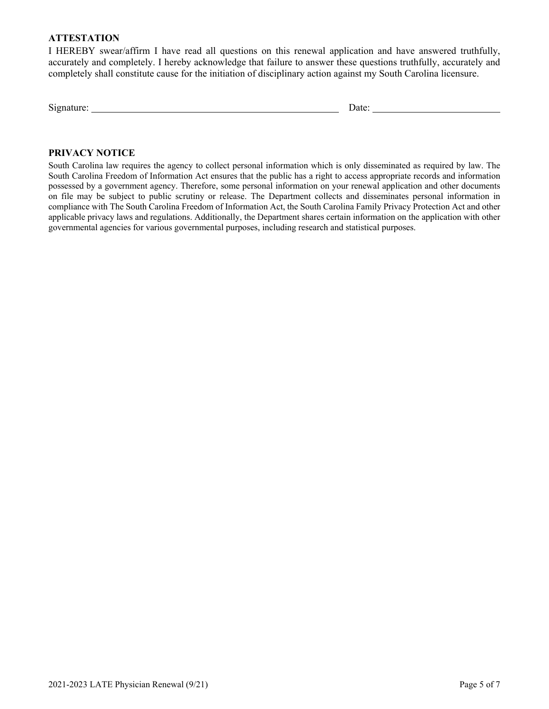#### **ATTESTATION**

I HEREBY swear/affirm I have read all questions on this renewal application and have answered truthfully, accurately and completely. I hereby acknowledge that failure to answer these questions truthfully, accurately and completely shall constitute cause for the initiation of disciplinary action against my South Carolina licensure.

| $\sim$<br>Signature: | )ate<br>'uw. |  |
|----------------------|--------------|--|
|                      |              |  |

#### **PRIVACY NOTICE**

South Carolina law requires the agency to collect personal information which is only disseminated as required by law. The South Carolina Freedom of Information Act ensures that the public has a right to access appropriate records and information possessed by a government agency. Therefore, some personal information on your renewal application and other documents on file may be subject to public scrutiny or release. The Department collects and disseminates personal information in compliance with The South Carolina Freedom of Information Act, the South Carolina Family Privacy Protection Act and other applicable privacy laws and regulations. Additionally, the Department shares certain information on the application with other governmental agencies for various governmental purposes, including research and statistical purposes.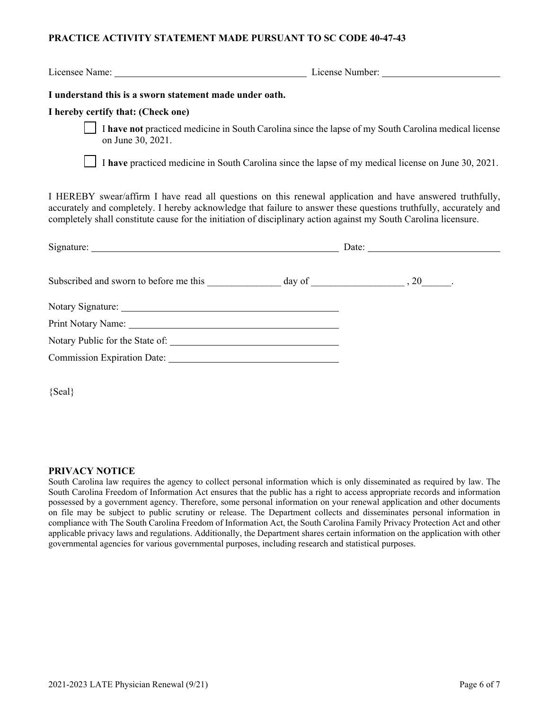#### **PRACTICE ACTIVITY STATEMENT MADE PURSUANT TO SC CODE 40-47-43**

Licensee Name: License Number:

#### **I understand this is a sworn statement made under oath.**

#### **I hereby certify that: (Check one)**

 I **have not** practiced medicine in South Carolina since the lapse of my South Carolina medical license on June 30, 2021.

I **have** practiced medicine in South Carolina since the lapse of my medical license on June 30, 2021.

I HEREBY swear/affirm I have read all questions on this renewal application and have answered truthfully, accurately and completely. I hereby acknowledge that failure to answer these questions truthfully, accurately and completely shall constitute cause for the initiation of disciplinary action against my South Carolina licensure.

| Print Notary Name: 1988 and 2008 and 2010 and 2010 and 2010 and 2010 and 2010 and 2010 and 2010 and 2010 and 20 |  |  |  |
|-----------------------------------------------------------------------------------------------------------------|--|--|--|
|                                                                                                                 |  |  |  |
|                                                                                                                 |  |  |  |
|                                                                                                                 |  |  |  |

{Seal}

#### **PRIVACY NOTICE**

South Carolina law requires the agency to collect personal information which is only disseminated as required by law. The South Carolina Freedom of Information Act ensures that the public has a right to access appropriate records and information possessed by a government agency. Therefore, some personal information on your renewal application and other documents on file may be subject to public scrutiny or release. The Department collects and disseminates personal information in compliance with The South Carolina Freedom of Information Act, the South Carolina Family Privacy Protection Act and other applicable privacy laws and regulations. Additionally, the Department shares certain information on the application with other governmental agencies for various governmental purposes, including research and statistical purposes.